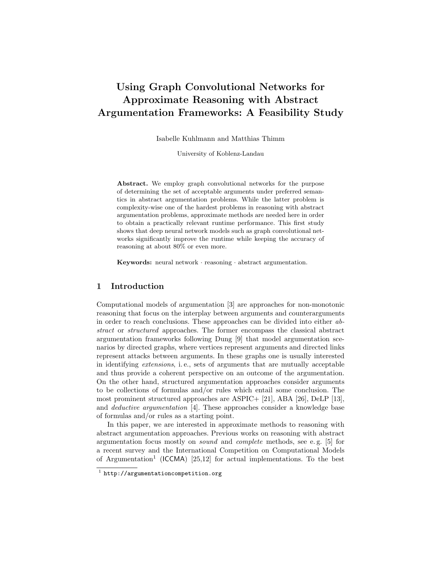# Using Graph Convolutional Networks for Approximate Reasoning with Abstract Argumentation Frameworks: A Feasibility Study

Isabelle Kuhlmann and Matthias Thimm

University of Koblenz-Landau

Abstract. We employ graph convolutional networks for the purpose of determining the set of acceptable arguments under preferred semantics in abstract argumentation problems. While the latter problem is complexity-wise one of the hardest problems in reasoning with abstract argumentation problems, approximate methods are needed here in order to obtain a practically relevant runtime performance. This first study shows that deep neural network models such as graph convolutional networks significantly improve the runtime while keeping the accuracy of reasoning at about 80% or even more.

Keywords: neural network · reasoning · abstract argumentation.

## 1 Introduction

Computational models of argumentation [3] are approaches for non-monotonic reasoning that focus on the interplay between arguments and counterarguments in order to reach conclusions. These approaches can be divided into either abstract or structured approaches. The former encompass the classical abstract argumentation frameworks following Dung [9] that model argumentation scenarios by directed graphs, where vertices represent arguments and directed links represent attacks between arguments. In these graphs one is usually interested in identifying extensions, i. e., sets of arguments that are mutually acceptable and thus provide a coherent perspective on an outcome of the argumentation. On the other hand, structured argumentation approaches consider arguments to be collections of formulas and/or rules which entail some conclusion. The most prominent structured approaches are ASPIC+ [21], ABA [26], DeLP [13], and deductive argumentation [4]. These approaches consider a knowledge base of formulas and/or rules as a starting point.

In this paper, we are interested in approximate methods to reasoning with abstract argumentation approaches. Previous works on reasoning with abstract argumentation focus mostly on sound and complete methods, see e. g. [5] for a recent survey and the International Competition on Computational Models of Argumentation<sup>1</sup> (ICCMA) [25,12] for actual implementations. To the best

<sup>1</sup> http://argumentationcompetition.org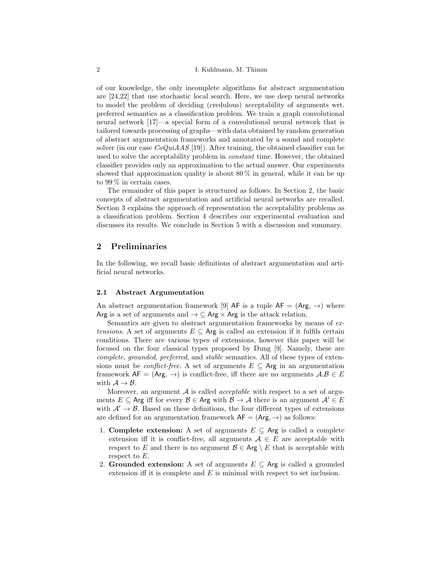of our knowledge, the only incomplete algorithms for abstract argumentation are [24,22] that use stochastic local search. Here, we use deep neural networks to model the problem of deciding (credulous) acceptability of arguments wrt. preferred semantics as a classification problem. We train a graph convolutional neural network [17]—a special form of a convolutional neural network that is tailored towards processing of graphs—with data obtained by random generation of abstract argumentation frameworks and annotated by a sound and complete solver (in our case  $CoQuiAAS$  [19]). After training, the obtained classifier can be used to solve the acceptability problem in constant time. However, the obtained classifier provides only an approximation to the actual answer. Our experiments showed that approximation quality is about  $80\%$  in general, while it can be up to 99 % in certain cases.

The remainder of this paper is structured as follows. In Section 2, the basic concepts of abstract argumentation and artificial neural networks are recalled. Section 3 explains the approach of representation the acceptability problems as a classification problem. Section 4 describes our experimental evaluation and discusses its results. We conclude in Section 5 with a discussion and summary.

## 2 Preliminaries

In the following, we recall basic definitions of abstract argumentation and artificial neural networks.

#### 2.1 Abstract Argumentation

An abstract argumentation framework [9] AF is a tuple  $AF = (Arg, \rightarrow)$  where Arg is a set of arguments and  $\rightarrow \subseteq$  Arg  $\times$  Arg is the attack relation.

Semantics are given to abstract argumentation frameworks by means of extensions. A set of arguments  $E \subseteq \mathsf{Arg}$  is called an extension if it fulfils certain conditions. There are various types of extensions, however this paper will be focused on the four classical types proposed by Dung [9]. Namely, these are complete, grounded, preferred, and stable semantics. All of these types of extensions must be *conflict-free*. A set of arguments  $E \subseteq \mathsf{Arg}$  in an argumentation framework  $AF = (Arg, \rightarrow)$  is conflict-free, iff there are no arguments  $A, B \in E$ with  $A \rightarrow B$ .

Moreover, an argument  $A$  is called *acceptable* with respect to a set of arguments  $E \subseteq \text{Arg}$  iff for every  $\mathcal{B} \in \text{Arg}$  with  $\mathcal{B} \to \mathcal{A}$  there is an argument  $\mathcal{A}' \in E$ with  $A' \rightarrow B$ . Based on these definitions, the four different types of extensions are defined for an argumentation framework  $AF = (Arg, \rightarrow)$  as follows:

- 1. Complete extension: A set of arguments  $E \subseteq \mathsf{Arg}$  is called a complete extension iff it is conflict-free, all arguments  $A \in E$  are acceptable with respect to E and there is no argument  $\mathcal{B} \in \mathsf{Arg} \setminus E$  that is acceptable with respect to E.
- 2. Grounded extension: A set of arguments  $E \subseteq \mathsf{Arg}$  is called a grounded extension iff it is complete and  $E$  is minimal with respect to set inclusion.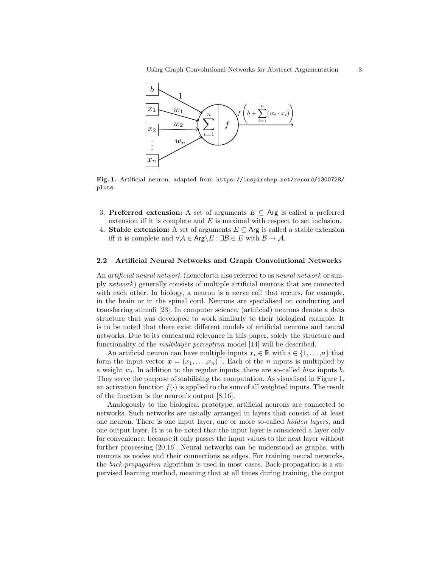

Fig. 1. Artificial neuron, adapted from https://inspirehep.net/record/1300728/ plots

- 3. Preferred extension: A set of arguments  $E \subseteq \mathsf{Arg}$  is called a preferred extension iff it is complete and  $E$  is maximal with respect to set inclusion.
- 4. Stable extension: A set of arguments  $E \subseteq \text{Arg}$  is called a stable extension iff it is complete and  $\forall A \in \text{Arg} \setminus E : \exists \mathcal{B} \in E$  with  $\mathcal{B} \to \mathcal{A}$ .

#### 2.2 Artificial Neural Networks and Graph Convolutional Networks

An *artificial neural network* (henceforth also referred to as *neural network* or simply network) generally consists of multiple artificial neurons that are connected with each other. In biology, a neuron is a nerve cell that occurs, for example, in the brain or in the spinal cord. Neurons are specialised on conducting and transferring stimuli [23]. In computer science, (artificial) neurons denote a data structure that was developed to work similarly to their biological example. It is to be noted that there exist different models of artificial neurons and neural networks. Due to its contextual relevance in this paper, solely the structure and functionality of the multilayer perceptron model [14] will be described.

An artificial neuron can have multiple inputs  $x_i \in \mathbb{R}$  with  $i \in \{1, \ldots, n\}$  that form the input vector  $\boldsymbol{x} = (x_1, \ldots, x_n)^\top$ . Each of the *n* inputs is multiplied by a weight  $w_i$ . In addition to the regular inputs, there are so-called *bias* inputs  $b$ . They serve the purpose of stabilising the computation. As visualised in Figure 1, an activation function  $f(\cdot)$  is applied to the sum of all weighted inputs. The result of the function is the neuron's output [8,16].

Analogously to the biological prototype, artificial neurons are connected to networks. Such networks are usually arranged in layers that consist of at least one neuron. There is one input layer, one or more so-called hidden layers, and one output layer. It is to be noted that the input layer is considered a layer only for convenience, because it only passes the input values to the next layer without further processing [20,16]. Neural networks can be understood as graphs, with neurons as nodes and their connections as edges. For training neural networks, the back-propagation algorithm is used in most cases. Back-propagation is a supervised learning method, meaning that at all times during training, the output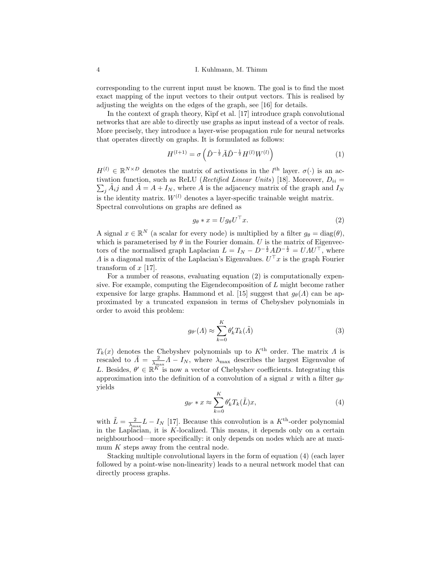corresponding to the current input must be known. The goal is to find the most exact mapping of the input vectors to their output vectors. This is realised by adjusting the weights on the edges of the graph, see [16] for details.

In the context of graph theory, Kipf et al. [17] introduce graph convolutional networks that are able to directly use graphs as input instead of a vector of reals. More precisely, they introduce a layer-wise propagation rule for neural networks that operates directly on graphs. It is formulated as follows:

$$
H^{(l+1)} = \sigma\left(\tilde{D}^{-\frac{1}{2}}\tilde{A}\tilde{D}^{-\frac{1}{2}}H^{(l)}W^{(l)}\right) \tag{1}
$$

 $H^{(l)} \in \mathbb{R}^{N \times D}$  denotes the matrix of activations in the  $l^{\text{th}}$  layer.  $\sigma(\cdot)$  is an activation function, such as ReLU (*Rectified Linear Units*) [18]. Moreover,  $D_{ii} =$  $\sum_j \tilde{A}_i j$  and  $\tilde{A} = A + I_N$ , where  $\tilde{A}$  is the adjacency matrix of the graph and  $I_N$ is the identity matrix.  $W^{(l)}$  denotes a layer-specific trainable weight matrix. Spectral convolutions on graphs are defined as

$$
g_{\theta} * x = U g_{\theta} U^{\top} x. \tag{2}
$$

A signal  $x \in \mathbb{R}^N$  (a scalar for every node) is multiplied by a filter  $g_\theta = \text{diag}(\theta)$ , which is parameterised by  $\theta$  in the Fourier domain. U is the matrix of Eigenvectors of the normalised graph Laplacian  $L = I_N - D^{-\frac{1}{2}}AD^{-\frac{1}{2}} = UAU^{\top}$ , where A is a diagonal matrix of the Laplacian's Eigenvalues.  $U^{\top}x$  is the graph Fourier transform of  $x$  [17].

For a number of reasons, evaluating equation (2) is computationally expensive. For example, computing the Eigendecomposition of L might become rather expensive for large graphs. Hammond et al. [15] suggest that  $q_{\theta}(A)$  can be approximated by a truncated expansion in terms of Chebyshev polynomials in order to avoid this problem:

$$
g_{\theta'}(A) \approx \sum_{k=0}^{K} \theta'_k T_k(\tilde{A})
$$
\n(3)

 $T_k(x)$  denotes the Chebyshev polynomials up to  $K^{\text{th}}$  order. The matrix  $\Lambda$  is rescaled to  $\tilde{\Lambda} = \frac{2}{\lambda_{\text{max}}} \Lambda - I_N$ , where  $\lambda_{\text{max}}$  describes the largest Eigenvalue of L. Besides,  $\theta' \in \mathbb{R}^{K}$  is now a vector of Chebyshev coefficients. Integrating this approximation into the definition of a convolution of a signal x with a filter  $g_{\theta'}$ yields

$$
g_{\theta'} * x \approx \sum_{k=0}^{K} \theta'_k T_k(\tilde{L}) x,
$$
\n(4)

with  $\tilde{L} = \frac{2}{\lambda_{\text{max}}} L - I_N$  [17]. Because this convolution is a  $K^{\text{th}}$ -order polynomial in the Laplacian, it is K-localized. This means, it depends only on a certain neighbourhood—more specifically: it only depends on nodes which are at maximum  $K$  steps away from the central node.

Stacking multiple convolutional layers in the form of equation (4) (each layer followed by a point-wise non-linearity) leads to a neural network model that can directly process graphs.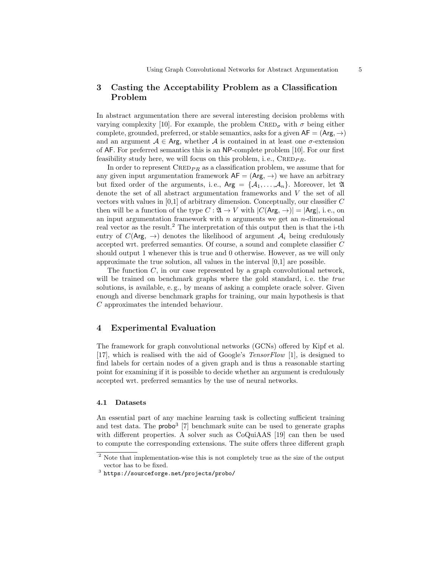# 3 Casting the Acceptability Problem as a Classification Problem

In abstract argumentation there are several interesting decision problems with varying complexity [10]. For example, the problem  $\text{CRED}_{\sigma}$  with  $\sigma$  being either complete, grounded, preferred, or stable semantics, asks for a given  $AF = (Arg, \rightarrow)$ and an argument  $A \in \text{Arg}$ , whether A is contained in at least one  $\sigma$ -extension of AF. For preferred semantics this is an NP-complete problem [10]. For our first feasibility study here, we will focus on this problem, i.e.,  $\text{CRED}_{PR}$ .

In order to represent  $\text{CRED}_{PR}$  as a classification problem, we assume that for any given input argumentation framework  $AF = (Arg, \rightarrow)$  we have an arbitrary but fixed order of the arguments, i.e.,  $Arg = \{A_1, \ldots, A_n\}$ . Moreover, let  $\mathfrak A$ denote the set of all abstract argumentation frameworks and V the set of all vectors with values in  $[0,1]$  of arbitrary dimension. Conceptually, our classifier  $C$ then will be a function of the type  $C: \mathfrak{A} \to V$  with  $|C(\mathsf{Arg}, \to)| = |\mathsf{Arg}|$ , i.e., on an input argumentation framework with  $n$  arguments we get an  $n$ -dimensional real vector as the result.<sup>2</sup> The interpretation of this output then is that the i-th entry of  $C(\text{Arg}, \rightarrow)$  denotes the likelihood of argument  $\mathcal{A}_i$  being credulously accepted wrt. preferred semantics. Of course, a sound and complete classifier C should output 1 whenever this is true and 0 otherwise. However, as we will only approximate the true solution, all values in the interval [0,1] are possible.

The function  $C$ , in our case represented by a graph convolutional network, will be trained on benchmark graphs where the gold standard, i.e. the true solutions, is available, e. g., by means of asking a complete oracle solver. Given enough and diverse benchmark graphs for training, our main hypothesis is that C approximates the intended behaviour.

# 4 Experimental Evaluation

The framework for graph convolutional networks (GCNs) offered by Kipf et al. [17], which is realised with the aid of Google's TensorFlow [1], is designed to find labels for certain nodes of a given graph and is thus a reasonable starting point for examining if it is possible to decide whether an argument is credulously accepted wrt. preferred semantics by the use of neural networks.

#### 4.1 Datasets

An essential part of any machine learning task is collecting sufficient training and test data. The  $prob^3$  [7] benchmark suite can be used to generate graphs with different properties. A solver such as CoQuiAAS [19] can then be used to compute the corresponding extensions. The suite offers three different graph

 $^{\rm 2}$  Note that implementation-wise this is not completely true as the size of the output vector has to be fixed.

<sup>3</sup> https://sourceforge.net/projects/probo/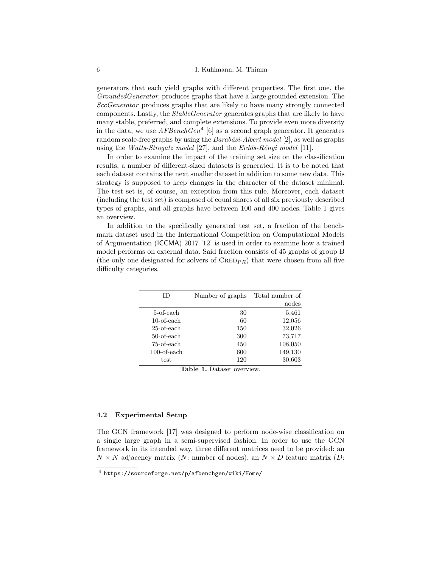generators that each yield graphs with different properties. The first one, the GroundedGenerator, produces graphs that have a large grounded extension. The SccGenerator produces graphs that are likely to have many strongly connected components. Lastly, the StableGenerator generates graphs that are likely to have many stable, preferred, and complete extensions. To provide even more diversity in the data, we use  $AFBenchGen<sup>4</sup>$  [6] as a second graph generator. It generates random scale-free graphs by using the  $Barabási-Albert \ model$  [2], as well as graphs using the Watts-Strogatz model [27], and the Erdős-Rényi model [11].

In order to examine the impact of the training set size on the classification results, a number of different-sized datasets is generated. It is to be noted that each dataset contains the next smaller dataset in addition to some new data. This strategy is supposed to keep changes in the character of the dataset minimal. The test set is, of course, an exception from this rule. Moreover, each dataset (including the test set) is composed of equal shares of all six previously described types of graphs, and all graphs have between 100 and 400 nodes. Table 1 gives an overview.

In addition to the specifically generated test set, a fraction of the benchmark dataset used in the International Competition on Computational Models of Argumentation (ICCMA) 2017 [12] is used in order to examine how a trained model performs on external data. Said fraction consists of 45 graphs of group B (the only one designated for solvers of  $\text{CRED}_{PR}$ ) that were chosen from all five difficulty categories.

| ΙD             | Number of graphs | Total number of |
|----------------|------------------|-----------------|
|                |                  | nodes           |
| 5-of-each      | 30               | 5,461           |
| $10$ -of-each  | 60               | 12,056          |
| $25$ -of-each  | 150              | 32,026          |
| 50-of-each     | 300              | 73,717          |
| 75-of-each     | 450              | 108,050         |
| $100$ -of-each | 600              | 149,130         |
| test           | 120              | 30,603          |

Table 1. Dataset overview.

### 4.2 Experimental Setup

The GCN framework [17] was designed to perform node-wise classification on a single large graph in a semi-supervised fashion. In order to use the GCN framework in its intended way, three different matrices need to be provided: an  $N \times N$  adjacency matrix (N: number of nodes), an  $N \times D$  feature matrix (D:

<sup>4</sup> https://sourceforge.net/p/afbenchgen/wiki/Home/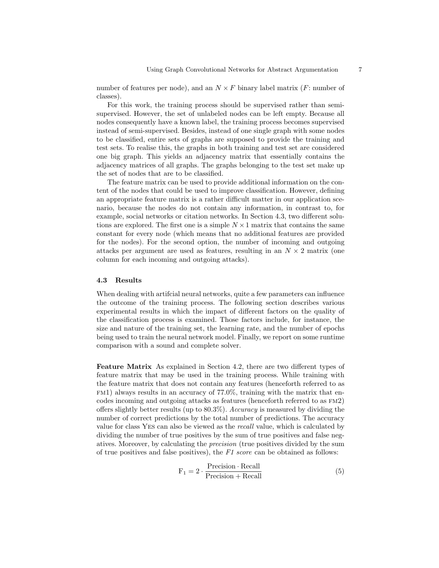number of features per node), and an  $N \times F$  binary label matrix (F: number of classes).

For this work, the training process should be supervised rather than semisupervised. However, the set of unlabeled nodes can be left empty. Because all nodes consequently have a known label, the training process becomes supervised instead of semi-supervised. Besides, instead of one single graph with some nodes to be classified, entire sets of graphs are supposed to provide the training and test sets. To realise this, the graphs in both training and test set are considered one big graph. This yields an adjacency matrix that essentially contains the adjacency matrices of all graphs. The graphs belonging to the test set make up the set of nodes that are to be classified.

The feature matrix can be used to provide additional information on the content of the nodes that could be used to improve classification. However, defining an appropriate feature matrix is a rather difficult matter in our application scenario, because the nodes do not contain any information, in contrast to, for example, social networks or citation networks. In Section 4.3, two different solutions are explored. The first one is a simple  $N \times 1$  matrix that contains the same constant for every node (which means that no additional features are provided for the nodes). For the second option, the number of incoming and outgoing attacks per argument are used as features, resulting in an  $N \times 2$  matrix (one column for each incoming and outgoing attacks).

#### 4.3 Results

When dealing with artifcial neural networks, quite a few parameters can influence the outcome of the training process. The following section describes various experimental results in which the impact of different factors on the quality of the classification process is examined. Those factors include, for instance, the size and nature of the training set, the learning rate, and the number of epochs being used to train the neural network model. Finally, we report on some runtime comparison with a sound and complete solver.

Feature Matrix As explained in Section 4.2, there are two different types of feature matrix that may be used in the training process. While training with the feature matrix that does not contain any features (henceforth referred to as  $F<sub>EM1</sub>$ ) always results in an accuracy of 77.0%, training with the matrix that encodes incoming and outgoing attacks as features (henceforth referred to as fm2) offers slightly better results (up to 80.3%). Accuracy is measured by dividing the number of correct predictions by the total number of predictions. The accuracy value for class Yes can also be viewed as the recall value, which is calculated by dividing the number of true positives by the sum of true positives and false negatives. Moreover, by calculating the precision (true positives divided by the sum of true positives and false positives), the  $F1$  score can be obtained as follows:

$$
F_1 = 2 \cdot \frac{\text{Precision} \cdot \text{Recall}}{\text{Precision} + \text{Recall}} \tag{5}
$$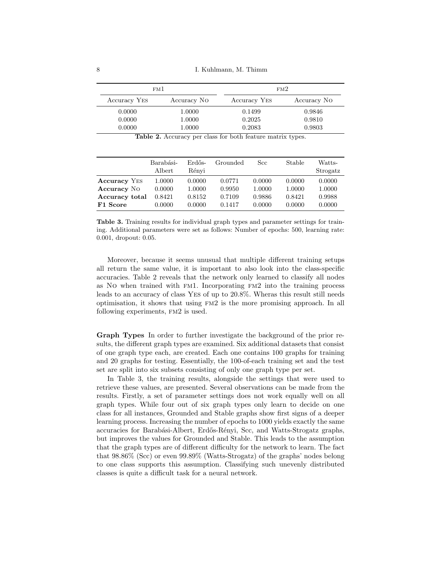8 I. Kuhlmann, M. Thimm

| FM 1         |             | FM2          |             |
|--------------|-------------|--------------|-------------|
| Accuracy YES | Accuracy No | Accuracy YES | Accuracy No |
| 0.0000       | 1.0000      | 0.1499       | 0.9846      |
| 0.0000       | 1.0000      | 0.2025       | 0.9810      |
| 0.0000       | 1.0000      | 0.2083       | 0.9803      |

Table 2. Accuracy per class for both feature matrix types.

|                     | Barabási-<br>Albert | Erdős-<br>Rényi | Grounded | Scc    | Stable | Watts-<br>Strogatz |
|---------------------|---------------------|-----------------|----------|--------|--------|--------------------|
| <b>Accuracy</b> YES | 1.0000              | 0.0000          | 0.0771   | 0.0000 | 0.0000 | 0.0000             |
| <b>Accuracy</b> No  | 0.0000              | 1.0000          | 0.9950   | 1.0000 | 1.0000 | 1.0000             |
| Accuracy total      | 0.8421              | 0.8152          | 0.7109   | 0.9886 | 0.8421 | 0.9988             |
| F1 Score            | 0.0000              | 0.0000          | 0.1417   | 0.0000 | 0.0000 | 0.0000             |

Table 3. Training results for individual graph types and parameter settings for training. Additional parameters were set as follows: Number of epochs: 500, learning rate: 0.001, dropout: 0.05.

Moreover, because it seems unusual that multiple different training setups all return the same value, it is important to also look into the class-specific accuracies. Table 2 reveals that the network only learned to classify all nodes as No when trained with fm1. Incorporating fm2 into the training process leads to an accuracy of class Yes of up to 20.8%. Wheras this result still needs optimisation, it shows that using fm2 is the more promising approach. In all following experiments,  $FM2$  is used.

Graph Types In order to further investigate the background of the prior results, the different graph types are examined. Six additional datasets that consist of one graph type each, are created. Each one contains 100 graphs for training and 20 graphs for testing. Essentially, the 100-of-each training set and the test set are split into six subsets consisting of only one graph type per set.

In Table 3, the training results, alongside the settings that were used to retrieve these values, are presented. Several observations can be made from the results. Firstly, a set of parameter settings does not work equally well on all graph types. While four out of six graph types only learn to decide on one class for all instances, Grounded and Stable graphs show first signs of a deeper learning process. Increasing the number of epochs to 1000 yields exactly the same accuracies for Barabási-Albert, Erdős-Rényi, Scc, and Watts-Strogatz graphs, but improves the values for Grounded and Stable. This leads to the assumption that the graph types are of different difficulty for the network to learn. The fact that 98.86% (Scc) or even 99.89% (Watts-Strogatz) of the graphs' nodes belong to one class supports this assumption. Classifying such unevenly distributed classes is quite a difficult task for a neural network.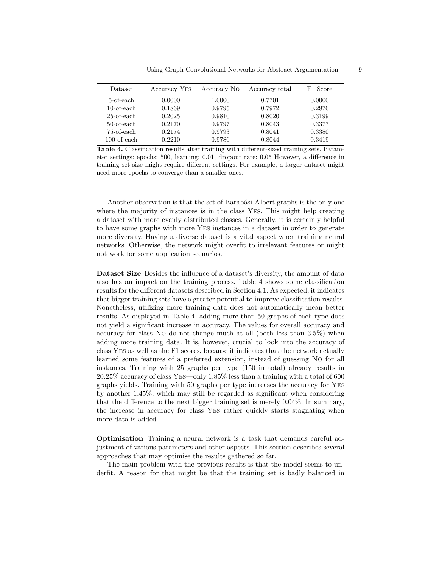| Dataset        | Accuracy YES | Accuracy No. | Accuracy total | F1 Score |
|----------------|--------------|--------------|----------------|----------|
| 5-of-each      | 0.0000       | 1.0000       | 0.7701         | 0.0000   |
| 10-of-each     | 0.1869       | 0.9795       | 0.7972         | 0.2976   |
| 25-of-each     | 0.2025       | 0.9810       | 0.8020         | 0.3199   |
| $50$ -of-each  | 0.2170       | 0.9797       | 0.8043         | 0.3377   |
| 75-of-each     | 0.2174       | 0.9793       | 0.8041         | 0.3380   |
| $100$ -of-each | 0.2210       | 0.9786       | 0.8044         | 0.3419   |

Table 4. Classification results after training with different-sized training sets. Parameter settings: epochs: 500, learning: 0.01, dropout rate: 0.05 However, a difference in training set size might require different settings. For example, a larger dataset might need more epochs to converge than a smaller ones.

Another observation is that the set of Barabási-Albert graphs is the only one where the majority of instances is in the class Yes. This might help creating a dataset with more evenly distributed classes. Generally, it is certainly helpful to have some graphs with more Yes instances in a dataset in order to generate more diversity. Having a diverse dataset is a vital aspect when training neural networks. Otherwise, the network might overfit to irrelevant features or might not work for some application scenarios.

Dataset Size Besides the influence of a dataset's diversity, the amount of data also has an impact on the training process. Table 4 shows some classification results for the different datasets described in Section 4.1. As expected, it indicates that bigger training sets have a greater potential to improve classification results. Nonetheless, utilizing more training data does not automatically mean better results. As displayed in Table 4, adding more than 50 graphs of each type does not yield a significant increase in accuracy. The values for overall accuracy and accuracy for class No do not change much at all (both less than 3.5%) when adding more training data. It is, however, crucial to look into the accuracy of class Yes as well as the F1 scores, because it indicates that the network actually learned some features of a preferred extension, instead of guessing No for all instances. Training with 25 graphs per type (150 in total) already results in 20.25% accuracy of class Yes—only 1.85% less than a training with a total of 600 graphs yields. Training with 50 graphs per type increases the accuracy for Yes by another 1.45%, which may still be regarded as significant when considering that the difference to the next bigger training set is merely 0.04%. In summary, the increase in accuracy for class Yes rather quickly starts stagnating when more data is added.

Optimisation Training a neural network is a task that demands careful adjustment of various parameters and other aspects. This section describes several approaches that may optimise the results gathered so far.

The main problem with the previous results is that the model seems to underfit. A reason for that might be that the training set is badly balanced in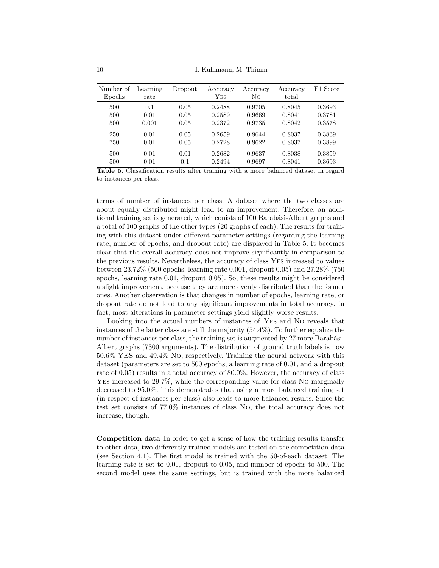| Number of<br>Epochs | Learning<br>rate | Dropout | Accuracy<br>$_{\rm Yes}$ | Accuracy<br>No | Accuracy<br>total | F1 Score |
|---------------------|------------------|---------|--------------------------|----------------|-------------------|----------|
| 500                 | 0.1              | 0.05    | 0.2488                   | 0.9705         | 0.8045            | 0.3693   |
| 500                 | 0.01             | 0.05    | 0.2589                   | 0.9669         | 0.8041            | 0.3781   |
| 500                 | 0.001            | 0.05    | 0.2372                   | 0.9735         | 0.8042            | 0.3578   |
| 250                 | 0.01             | 0.05    | 0.2659                   | 0.9644         | 0.8037            | 0.3839   |
| 750                 | 0.01             | 0.05    | 0.2728                   | 0.9622         | 0.8037            | 0.3899   |
| 500                 | 0.01             | 0.01    | 0.2682                   | 0.9637         | 0.8038            | 0.3859   |
| 500                 | 0.01             | 0.1     | 0.2494                   | 0.9697         | 0.8041            | 0.3693   |

Table 5. Classification results after training with a more balanced dataset in regard to instances per class.

terms of number of instances per class. A dataset where the two classes are about equally distributed might lead to an improvement. Therefore, an additional training set is generated, which conists of 100 Barabási-Albert graphs and a total of 100 graphs of the other types (20 graphs of each). The results for training with this dataset under different parameter settings (regarding the learning rate, number of epochs, and dropout rate) are displayed in Table 5. It becomes clear that the overall accuracy does not improve significantly in comparison to the previous results. Nevertheless, the accuracy of class Yes increased to values between 23.72% (500 epochs, learning rate 0.001, dropout 0.05) and 27.28% (750 epochs, learning rate 0.01, dropout 0.05). So, these results might be considered a slight improvement, because they are more evenly distributed than the former ones. Another observation is that changes in number of epochs, learning rate, or dropout rate do not lead to any significant improvements in total accuracy. In fact, most alterations in parameter settings yield slightly worse results.

Looking into the actual numbers of instances of Yes and No reveals that instances of the latter class are still the majority (54.4%). To further equalize the number of instances per class, the training set is augmented by 27 more Barabási-Albert graphs (7300 arguments). The distribution of ground truth labels is now 50.6% YES and 49,4% No, respectively. Training the neural network with this dataset (parameters are set to 500 epochs, a learning rate of 0.01, and a dropout rate of 0.05) results in a total accuracy of 80.0%. However, the accuracy of class Yes increased to 29.7%, while the corresponding value for class No marginally decreased to 95.0%. This demonstrates that using a more balanced training set (in respect of instances per class) also leads to more balanced results. Since the test set consists of 77.0% instances of class No, the total accuracy does not increase, though.

Competition data In order to get a sense of how the training results transfer to other data, two differently trained models are tested on the competition data (see Section 4.1). The first model is trained with the 50-of-each dataset. The learning rate is set to 0.01, dropout to 0.05, and number of epochs to 500. The second model uses the same settings, but is trained with the more balanced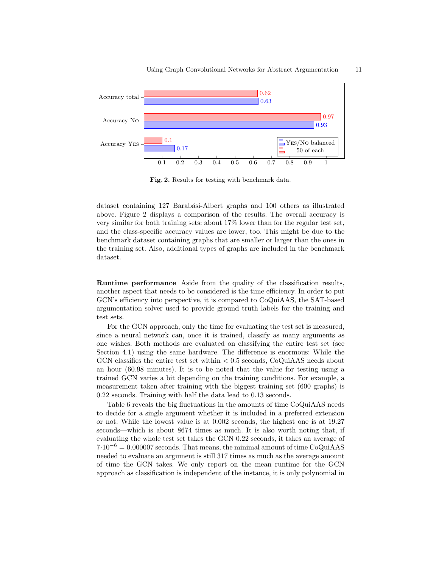

Fig. 2. Results for testing with benchmark data.

dataset containing 127 Barabási-Albert graphs and 100 others as illustrated above. Figure 2 displays a comparison of the results. The overall accuracy is very similar for both training sets: about 17% lower than for the regular test set, and the class-specific accuracy values are lower, too. This might be due to the benchmark dataset containing graphs that are smaller or larger than the ones in the training set. Also, additional types of graphs are included in the benchmark dataset.

Runtime performance Aside from the quality of the classification results, another aspect that needs to be considered is the time efficiency. In order to put GCN's efficiency into perspective, it is compared to CoQuiAAS, the SAT-based argumentation solver used to provide ground truth labels for the training and test sets.

For the GCN approach, only the time for evaluating the test set is measured, since a neural network can, once it is trained, classify as many arguments as one wishes. Both methods are evaluated on classifying the entire test set (see Section 4.1) using the same hardware. The difference is enormous: While the GCN classifies the entire test set within < 0.5 seconds, CoQuiAAS needs about an hour (60.98 minutes). It is to be noted that the value for testing using a trained GCN varies a bit depending on the training conditions. For example, a measurement taken after training with the biggest training set (600 graphs) is 0.22 seconds. Training with half the data lead to 0.13 seconds.

Table 6 reveals the big fluctuations in the amounts of time CoQuiAAS needs to decide for a single argument whether it is included in a preferred extension or not. While the lowest value is at 0.002 seconds, the highest one is at 19.27 seconds—which is about 8674 times as much. It is also worth noting that, if evaluating the whole test set takes the GCN 0.22 seconds, it takes an average of  $7.10^{-6} = 0.000007$  seconds. That means, the minimal amount of time CoQuiAAS needed to evaluate an argument is still 317 times as much as the average amount of time the GCN takes. We only report on the mean runtime for the GCN approach as classification is independent of the instance, it is only polynomial in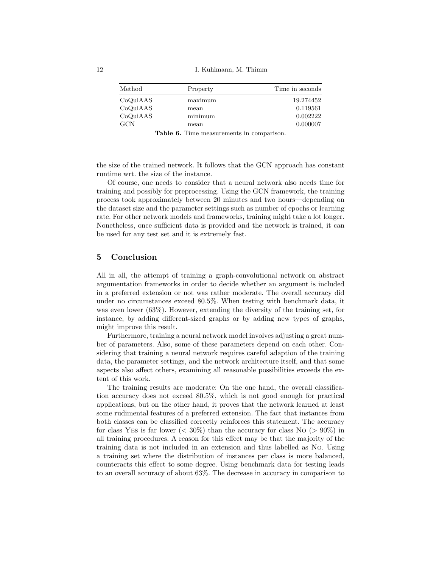| Method     | Property | Time in seconds |
|------------|----------|-----------------|
| CoQuiAAS   | maximum  | 19.274452       |
| CoQuiAAS   | mean     | 0.119561        |
| CoQuiAAS   | minimum  | 0.002222        |
| <b>GCN</b> | mean     | 0.000007        |

Table 6. Time measurements in comparison.

the size of the trained network. It follows that the GCN approach has constant runtime wrt. the size of the instance.

Of course, one needs to consider that a neural network also needs time for training and possibly for preprocessing. Using the GCN framework, the training process took approximately between 20 minutes and two hours—depending on the dataset size and the parameter settings such as number of epochs or learning rate. For other network models and frameworks, training might take a lot longer. Nonetheless, once sufficient data is provided and the network is trained, it can be used for any test set and it is extremely fast.

## 5 Conclusion

All in all, the attempt of training a graph-convolutional network on abstract argumentation frameworks in order to decide whether an argument is included in a preferred extension or not was rather moderate. The overall accuracy did under no circumstances exceed 80.5%. When testing with benchmark data, it was even lower (63%). However, extending the diversity of the training set, for instance, by adding different-sized graphs or by adding new types of graphs, might improve this result.

Furthermore, training a neural network model involves adjusting a great number of parameters. Also, some of these parameters depend on each other. Considering that training a neural network requires careful adaption of the training data, the parameter settings, and the network architecture itself, and that some aspects also affect others, examining all reasonable possibilities exceeds the extent of this work.

The training results are moderate: On the one hand, the overall classification accuracy does not exceed 80.5%, which is not good enough for practical applications, but on the other hand, it proves that the network learned at least some rudimental features of a preferred extension. The fact that instances from both classes can be classified correctly reinforces this statement. The accuracy for class Yes is far lower ( $\langle 30\% \rangle$ ) than the accuracy for class No ( $> 90\%$ ) in all training procedures. A reason for this effect may be that the majority of the training data is not included in an extension and thus labelled as No. Using a training set where the distribution of instances per class is more balanced, counteracts this effect to some degree. Using benchmark data for testing leads to an overall accuracy of about 63%. The decrease in accuracy in comparison to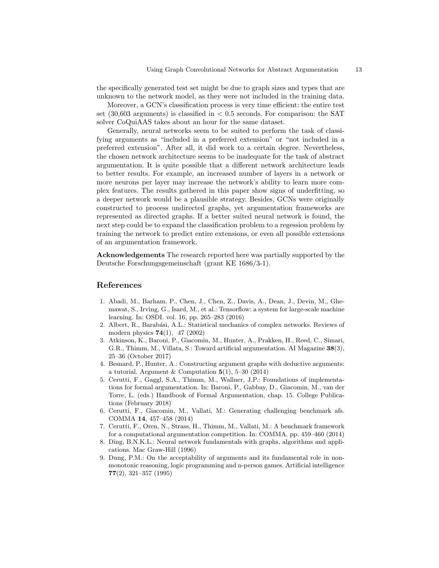the specifically generated test set might be due to graph sizes and types that are unknown to the network model, as they were not included in the training data.

Moreover, a GCN's classification process is very time efficient: the entire test set  $(30,603$  arguments) is classified in  $< 0.5$  seconds. For comparison: the SAT solver CoQuiAAS takes about an hour for the same dataset.

Generally, neural networks seem to be suited to perform the task of classifying arguments as "included in a preferred extension" or "not included in a preferred extension". After all, it did work to a certain degree. Nevertheless, the chosen network architecture seems to be inadequate for the task of abstract argumentation. It is quite possible that a different network architecture leads to better results. For example, an increased number of layers in a network or more neurons per layer may increase the network's ability to learn more complex features. The results gathered in this paper show signs of underfitting, so a deeper network would be a plausible strategy. Besides, GCNs were originally constructed to process undirected graphs, yet argumentation frameworks are represented as directed graphs. If a better suited neural network is found, the next step could be to expand the classification problem to a regession problem by training the network to predict entire extensions, or even all possible extensions of an argumentation framework.

Acknowledgements The research reported here was partially supported by the Deutsche Forschungsgemeinschaft (grant KE 1686/3-1).

## References

- 1. Abadi, M., Barham, P., Chen, J., Chen, Z., Davis, A., Dean, J., Devin, M., Ghemawat, S., Irving, G., Isard, M., et al.: Tensorflow: a system for large-scale machine learning. In: OSDI. vol. 16, pp. 265–283 (2016)
- 2. Albert, R., Barabási, A.L.: Statistical mechanics of complex networks. Reviews of modern physics  $74(1)$ , 47 (2002)
- 3. Atkinson, K., Baroni, P., Giacomin, M., Hunter, A., Prakken, H., Reed, C., Simari, G.R., Thimm, M., Villata, S.: Toward artificial argumentation. AI Magazine 38(3), 25–36 (October 2017)
- 4. Besnard, P., Hunter, A.: Constructing argument graphs with deductive arguments: a tutorial. Argument & Computation  $5(1)$ , 5-30 (2014)
- 5. Cerutti, F., Gaggl, S.A., Thimm, M., Wallner, J.P.: Foundations of implementations for formal argumentation. In: Baroni, P., Gabbay, D., Giacomin, M., van der Torre, L. (eds.) Handbook of Formal Argumentation, chap. 15. College Publications (February 2018)
- 6. Cerutti, F., Giacomin, M., Vallati, M.: Generating challenging benchmark afs. COMMA 14, 457–458 (2014)
- 7. Cerutti, F., Oren, N., Strass, H., Thimm, M., Vallati, M.: A benchmark framework for a computational argumentation competition. In: COMMA. pp. 459–460 (2014)
- 8. Ding, B.N.K.L.: Neural network fundamentals with graphs, algorithms and applications. Mac Graw-Hill (1996)
- 9. Dung, P.M.: On the acceptability of arguments and its fundamental role in nonmonotonic reasoning, logic programming and n-person games. Artificial intelligence 77(2), 321–357 (1995)